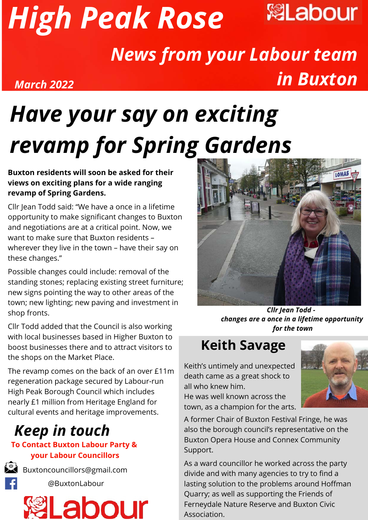# *High Peak Rose*



*News from your Labour team in Buxton*

## *Have your say on exciting revamp for Spring Gardens*

**Buxton residents will soon be asked for their views on exciting plans for a wide ranging revamp of Spring Gardens.**

*March 2022*

Cllr Jean Todd said: "We have a once in a lifetime opportunity to make significant changes to Buxton and negotiations are at a critical point. Now, we want to make sure that Buxton residents – wherever they live in the town – have their say on these changes."

Possible changes could include: removal of the standing stones; replacing existing street furniture; new signs pointing the way to other areas of the town; new lighting; new paving and investment in shop fronts.

Cllr Todd added that the Council is also working with local businesses based in Higher Buxton to boost businesses there and to attract visitors to the shops on the Market Place.

The revamp comes on the back of an over £11m regeneration package secured by Labour-run High Peak Borough Council which includes nearly £1 million from Heritage England for cultural events and heritage improvements.

### *Keep in touch*

#### **To Contact Buxton Labour Party & your Labour Councillors**



Buxtoncouncillors@gmail.com @BuxtonLabour





*Cllr Jean Todd changes are a once in a lifetime opportunity for the town*

### **Keith Savage**

Keith's untimely and unexpected death came as a great shock to all who knew him.

He was well known across the town, as a champion for the arts.



A former Chair of Buxton Festival Fringe, he was also the borough council's representative on the Buxton Opera House and Connex Community Support.

As a ward councillor he worked across the party divide and with many agencies to try to find a lasting solution to the problems around Hoffman Quarry; as well as supporting the Friends of Ferneydale Nature Reserve and Buxton Civic Association.